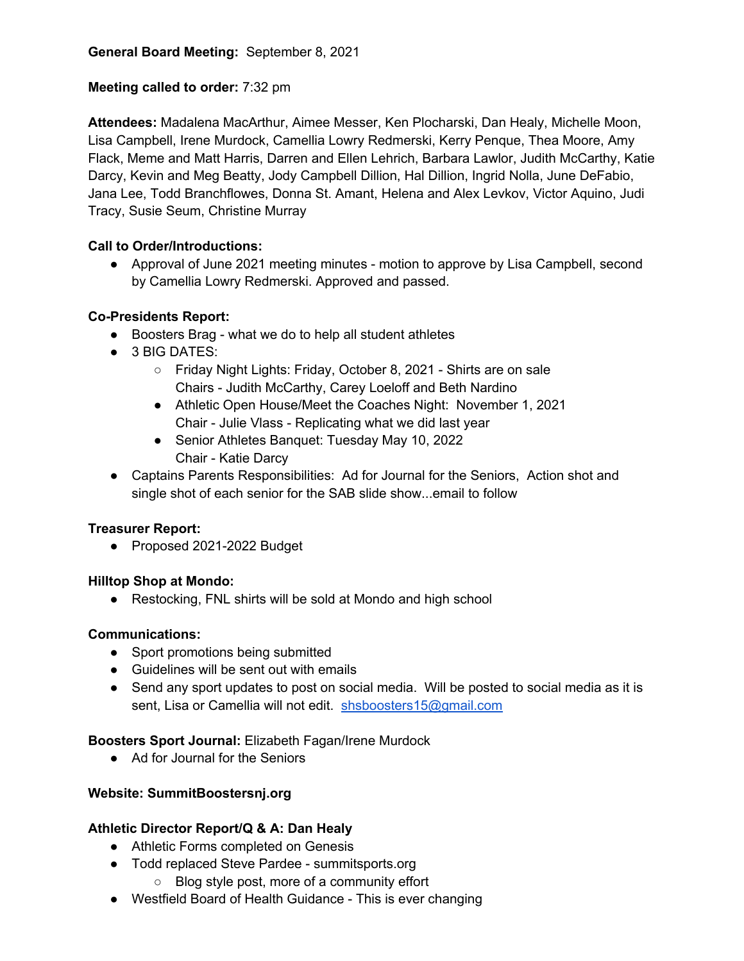# **Meeting called to order:** 7:32 pm

**Attendees:** Madalena MacArthur, Aimee Messer, Ken Plocharski, Dan Healy, Michelle Moon, Lisa Campbell, Irene Murdock, Camellia Lowry Redmerski, Kerry Penque, Thea Moore, Amy Flack, Meme and Matt Harris, Darren and Ellen Lehrich, Barbara Lawlor, Judith McCarthy, Katie Darcy, Kevin and Meg Beatty, Jody Campbell Dillion, Hal Dillion, Ingrid Nolla, June DeFabio, Jana Lee, Todd Branchflowes, Donna St. Amant, Helena and Alex Levkov, Victor Aquino, Judi Tracy, Susie Seum, Christine Murray

# **Call to Order/Introductions:**

● Approval of June 2021 meeting minutes - motion to approve by Lisa Campbell, second by Camellia Lowry Redmerski. Approved and passed.

### **Co-Presidents Report:**

- Boosters Brag what we do to help all student athletes
- 3 BIG DATES:
	- Friday Night Lights: Friday, October 8, 2021 Shirts are on sale Chairs - Judith McCarthy, Carey Loeloff and Beth Nardino
	- Athletic Open House/Meet the Coaches Night: November 1, 2021 Chair - Julie Vlass - Replicating what we did last year
	- Senior Athletes Banquet: Tuesday May 10, 2022 Chair - Katie Darcy
- Captains Parents Responsibilities: Ad for Journal for the Seniors, Action shot and single shot of each senior for the SAB slide show...email to follow

# **Treasurer Report:**

● Proposed 2021-2022 Budget

#### **Hilltop Shop at Mondo:**

● Restocking, FNL shirts will be sold at Mondo and high school

# **Communications:**

- Sport promotions being submitted
- Guidelines will be sent out with emails
- Send any sport updates to post on social media. Will be posted to social media as it is sent, Lisa or Camellia will not edit. shsboosters15@gmail.com

# **Boosters Sport Journal:** Elizabeth Fagan/Irene Murdock

● Ad for Journal for the Seniors

# **Website: SummitBoostersnj.org**

# **Athletic Director Report/Q & A: Dan Healy**

- Athletic Forms completed on Genesis
- Todd replaced Steve Pardee summitsports.org
	- Blog style post, more of a community effort
- Westfield Board of Health Guidance This is ever changing